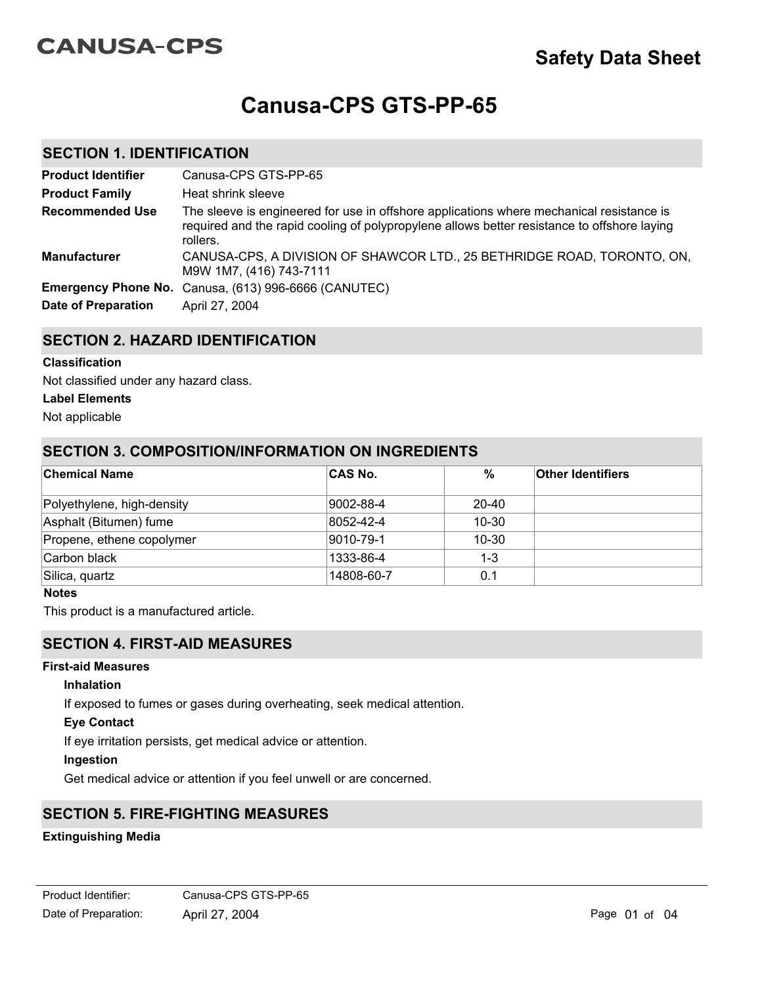# **CANUSA-CPS**

# **Canusa-CPS GTS-PP-65**

## **SECTION 1. IDENTIFICATION**

| <b>Product Identifier</b>  | Canusa-CPS GTS-PP-65                                                                                                                                                                                |
|----------------------------|-----------------------------------------------------------------------------------------------------------------------------------------------------------------------------------------------------|
| <b>Product Family</b>      | Heat shrink sleeve                                                                                                                                                                                  |
| <b>Recommended Use</b>     | The sleeve is engineered for use in offshore applications where mechanical resistance is<br>required and the rapid cooling of polypropylene allows better resistance to offshore laying<br>rollers. |
| <b>Manufacturer</b>        | CANUSA-CPS, A DIVISION OF SHAWCOR LTD., 25 BETHRIDGE ROAD, TORONTO, ON,<br>M9W 1M7, (416) 743-7111                                                                                                  |
|                            | Emergency Phone No. Canusa, (613) 996-6666 (CANUTEC)                                                                                                                                                |
| <b>Date of Preparation</b> | April 27, 2004                                                                                                                                                                                      |

## **SECTION 2. HAZARD IDENTIFICATION**

# **Classification**

Not classified under any hazard class.

#### **Label Elements**

Not applicable

# **SECTION 3. COMPOSITION/INFORMATION ON INGREDIENTS**

| <b>Chemical Name</b>       | <b>CAS No.</b> | %         | <b>Other Identifiers</b> |
|----------------------------|----------------|-----------|--------------------------|
|                            |                |           |                          |
| Polyethylene, high-density | 9002-88-4      | $20 - 40$ |                          |
| Asphalt (Bitumen) fume     | 8052-42-4      | $10 - 30$ |                          |
| Propene, ethene copolymer  | 9010-79-1      | $10 - 30$ |                          |
| Carbon black               | 1333-86-4      | $1 - 3$   |                          |
| Silica, quartz             | 14808-60-7     | 0.1       |                          |

#### **Notes**

This product is a manufactured article.

## **SECTION 4. FIRST-AID MEASURES**

#### **First-aid Measures**

#### **Inhalation**

If exposed to fumes or gases during overheating, seek medical attention.

#### **Eye Contact**

If eye irritation persists, get medical advice or attention.

#### **Ingestion**

Get medical advice or attention if you feel unwell or are concerned.

# **SECTION 5. FIRE-FIGHTING MEASURES**

#### **Extinguishing Media**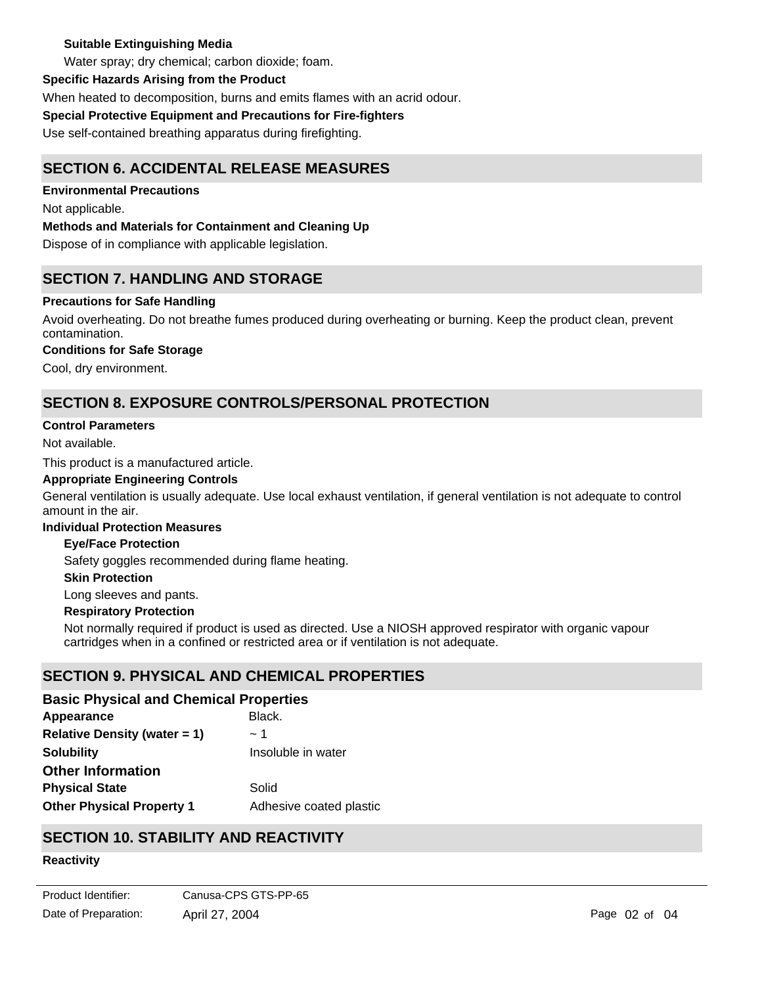#### **Suitable Extinguishing Media**

Water spray; dry chemical; carbon dioxide; foam.

#### **Specific Hazards Arising from the Product**

When heated to decomposition, burns and emits flames with an acrid odour.

## **Special Protective Equipment and Precautions for Fire-fighters**

Use self-contained breathing apparatus during firefighting.

# **SECTION 6. ACCIDENTAL RELEASE MEASURES**

**Environmental Precautions**

Not applicable.

## **Methods and Materials for Containment and Cleaning Up**

Dispose of in compliance with applicable legislation.

# **SECTION 7. HANDLING AND STORAGE**

## **Precautions for Safe Handling**

Avoid overheating. Do not breathe fumes produced during overheating or burning. Keep the product clean, prevent contamination.

## **Conditions for Safe Storage**

Cool, dry environment.

# **SECTION 8. EXPOSURE CONTROLS/PERSONAL PROTECTION**

#### **Control Parameters**

Not available.

This product is a manufactured article.

#### **Appropriate Engineering Controls**

General ventilation is usually adequate. Use local exhaust ventilation, if general ventilation is not adequate to control amount in the air.

#### **Individual Protection Measures**

#### **Eye/Face Protection**

Safety goggles recommended during flame heating.

#### **Skin Protection**

Long sleeves and pants.

#### **Respiratory Protection**

Not normally required if product is used as directed. Use a NIOSH approved respirator with organic vapour cartridges when in a confined or restricted area or if ventilation is not adequate.

# **SECTION 9. PHYSICAL AND CHEMICAL PROPERTIES**

## **Basic Physical and Chemical Properties**

| Appearance                          | Black.                  |
|-------------------------------------|-------------------------|
| <b>Relative Density (water = 1)</b> | $\sim$ 1                |
| <b>Solubility</b>                   | Insoluble in water      |
| <b>Other Information</b>            |                         |
| <b>Physical State</b>               | Solid                   |
| <b>Other Physical Property 1</b>    | Adhesive coated plastic |

# **SECTION 10. STABILITY AND REACTIVITY**

# **Reactivity**

Not applicable.

Date of Preparation: April 27, 2004 **Page 02 of 04** Page 02 of 04 Product Identifier: Canusa-CPS GTS-PP-65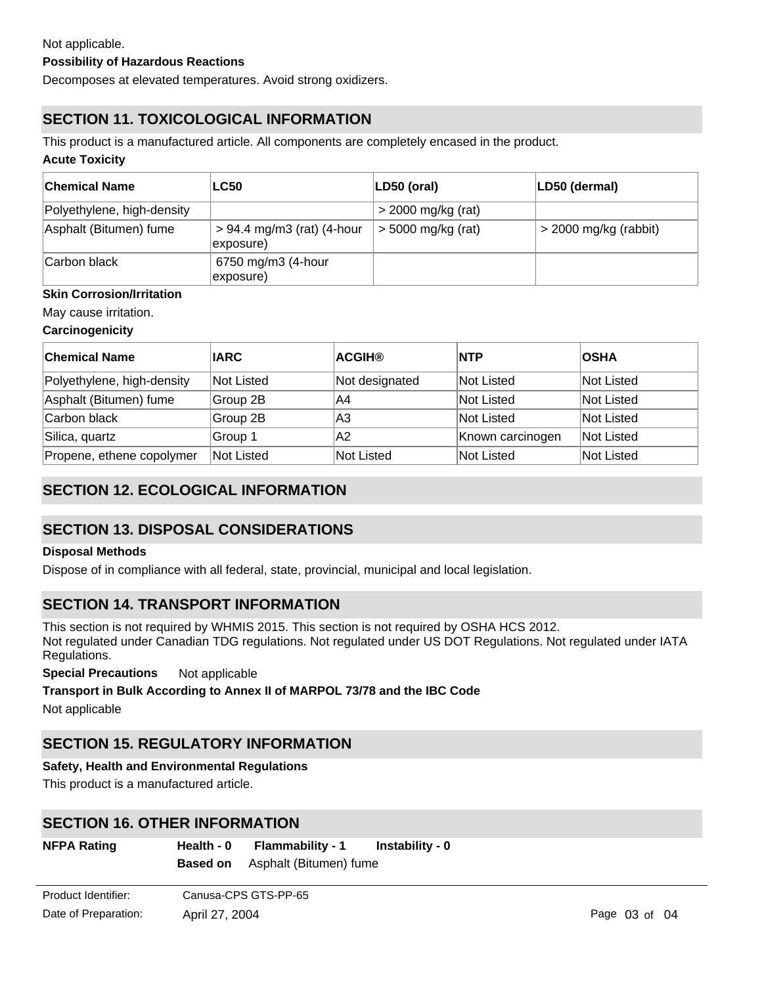#### **Possibility of Hazardous Reactions**

Decomposes at elevated temperatures. Avoid strong oxidizers.

# **SECTION 11. TOXICOLOGICAL INFORMATION**

This product is a manufactured article. All components are completely encased in the product.

#### **Acute Toxicity**

| ∣Chemical Name             | <b>LC50</b>                               | LD50 (oral)          | LD50 (dermal)           |
|----------------------------|-------------------------------------------|----------------------|-------------------------|
| Polyethylene, high-density |                                           | $>$ 2000 mg/kg (rat) |                         |
| Asphalt (Bitumen) fume     | $> 94.4$ mg/m3 (rat) (4-hour<br>exposure) | $>$ 5000 mg/kg (rat) | $>$ 2000 mg/kg (rabbit) |
| Carbon black               | 6750 mg/m3 (4-hour<br>exposure)           |                      |                         |

## **Skin Corrosion/Irritation**

May cause irritation.

#### **Carcinogenicity**

| <b>Chemical Name</b>       | <b>IARC</b> | <b>ACGIH®</b>  | <b>NTP</b>       | <b>OSHA</b> |
|----------------------------|-------------|----------------|------------------|-------------|
| Polyethylene, high-density | Not Listed  | Not designated | Not Listed       | Not Listed  |
| Asphalt (Bitumen) fume     | Group 2B    | IA4            | Not Listed       | Not Listed  |
| Carbon black               | Group 2B    | lA3            | Not Listed       | Not Listed  |
| Silica, quartz             | Group 1     | IA2            | Known carcinogen | Not Listed  |
| Propene, ethene copolymer  | Not Listed  | Not Listed     | Not Listed       | Not Listed  |

# **SECTION 12. ECOLOGICAL INFORMATION**

# **SECTION 13. DISPOSAL CONSIDERATIONS**

#### **Disposal Methods**

Dispose of in compliance with all federal, state, provincial, municipal and local legislation.

# **SECTION 14. TRANSPORT INFORMATION**

This section is not required by WHMIS 2015. This section is not required by OSHA HCS 2012. Not regulated under Canadian TDG regulations. Not regulated under US DOT Regulations. Not regulated under IATA Regulations.

**Special Precautions** Not applicable

#### **Transport in Bulk According to Annex II of MARPOL 73/78 and the IBC Code**

Not applicable

# **SECTION 15. REGULATORY INFORMATION**

#### **Safety, Health and Environmental Regulations**

This product is a manufactured article.

# **SECTION 16. OTHER INFORMATION**

| <b>NFPA Rating</b> | Health - 0 | Flammability - 1                       | Instability - 0 |
|--------------------|------------|----------------------------------------|-----------------|
|                    |            | <b>Based on</b> Asphalt (Bitumen) fume |                 |
|                    |            |                                        |                 |